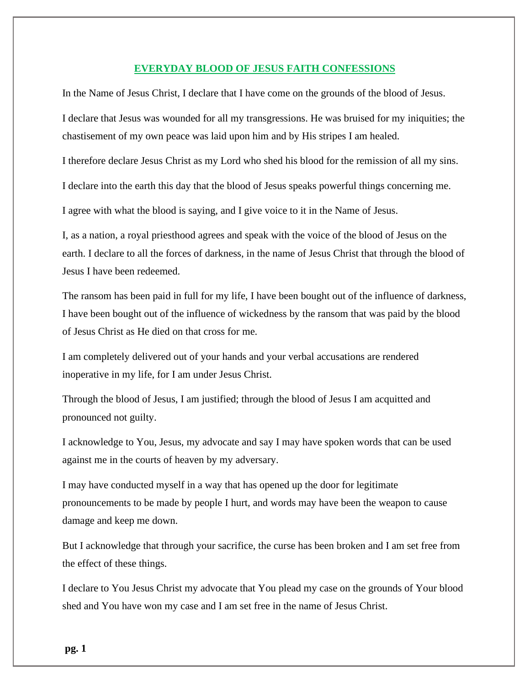## **EVERYDAY BLOOD OF JESUS FAITH CONFESSIONS**

In the Name of Jesus Christ, I declare that I have come on the grounds of the blood of Jesus.

I declare that Jesus was wounded for all my transgressions. He was bruised for my iniquities; the chastisement of my own peace was laid upon him and by His stripes I am healed.

I therefore declare Jesus Christ as my Lord who shed his blood for the remission of all my sins.

I declare into the earth this day that the blood of Jesus speaks powerful things concerning me.

I agree with what the blood is saying, and I give voice to it in the Name of Jesus.

I, as a nation, a royal priesthood agrees and speak with the voice of the blood of Jesus on the earth. I declare to all the forces of darkness, in the name of Jesus Christ that through the blood of Jesus I have been redeemed.

The ransom has been paid in full for my life, I have been bought out of the influence of darkness, I have been bought out of the influence of wickedness by the ransom that was paid by the blood of Jesus Christ as He died on that cross for me.

I am completely delivered out of your hands and your verbal accusations are rendered inoperative in my life, for I am under Jesus Christ.

Through the blood of Jesus, I am justified; through the blood of Jesus I am acquitted and pronounced not guilty.

I acknowledge to You, Jesus, my advocate and say I may have spoken words that can be used against me in the courts of heaven by my adversary.

I may have conducted myself in a way that has opened up the door for legitimate pronouncements to be made by people I hurt, and words may have been the weapon to cause damage and keep me down.

But I acknowledge that through your sacrifice, the curse has been broken and I am set free from the effect of these things.

I declare to You Jesus Christ my advocate that You plead my case on the grounds of Your blood shed and You have won my case and I am set free in the name of Jesus Christ.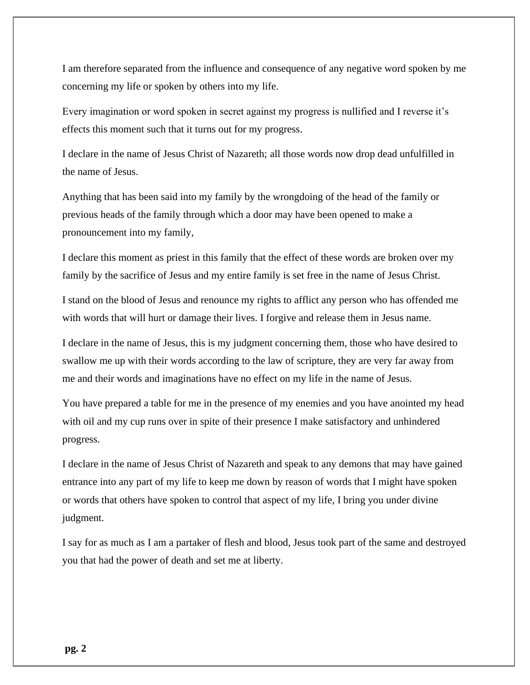I am therefore separated from the influence and consequence of any negative word spoken by me concerning my life or spoken by others into my life.

Every imagination or word spoken in secret against my progress is nullified and I reverse it's effects this moment such that it turns out for my progress.

I declare in the name of Jesus Christ of Nazareth; all those words now drop dead unfulfilled in the name of Jesus.

Anything that has been said into my family by the wrongdoing of the head of the family or previous heads of the family through which a door may have been opened to make a pronouncement into my family,

I declare this moment as priest in this family that the effect of these words are broken over my family by the sacrifice of Jesus and my entire family is set free in the name of Jesus Christ.

I stand on the blood of Jesus and renounce my rights to afflict any person who has offended me with words that will hurt or damage their lives. I forgive and release them in Jesus name.

I declare in the name of Jesus, this is my judgment concerning them, those who have desired to swallow me up with their words according to the law of scripture, they are very far away from me and their words and imaginations have no effect on my life in the name of Jesus.

You have prepared a table for me in the presence of my enemies and you have anointed my head with oil and my cup runs over in spite of their presence I make satisfactory and unhindered progress.

I declare in the name of Jesus Christ of Nazareth and speak to any demons that may have gained entrance into any part of my life to keep me down by reason of words that I might have spoken or words that others have spoken to control that aspect of my life, I bring you under divine judgment.

I say for as much as I am a partaker of flesh and blood, Jesus took part of the same and destroyed you that had the power of death and set me at liberty.